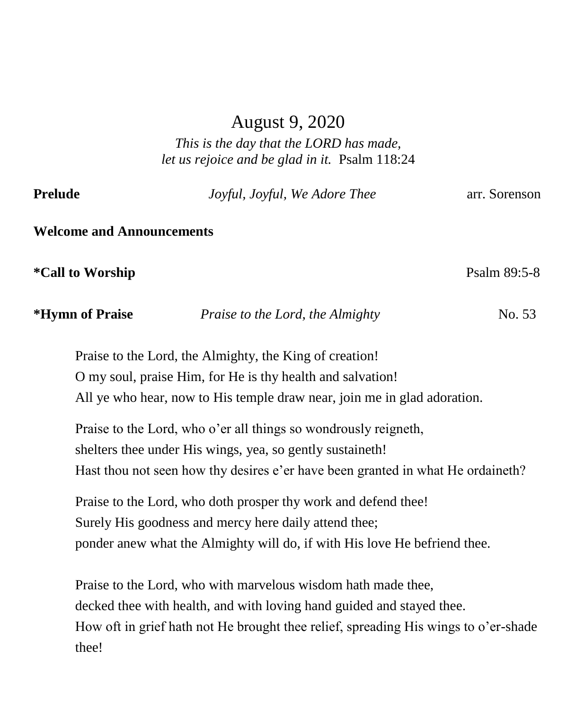## August 9, 2020

*This is the day that the LORD has made, let us rejoice and be glad in it.* Psalm 118:24

| Prelude | Joyful, Joyful, We Adore Thee | arr. Sorenson |
|---------|-------------------------------|---------------|
|         |                               |               |

**Welcome and Announcements**

**\*Call to Worship Psalm 89:5-8** 

**\*Hymn of Praise** *Praise to the Lord, the Almighty* No. 53

Praise to the Lord, the Almighty, the King of creation! O my soul, praise Him, for He is thy health and salvation! All ye who hear, now to His temple draw near, join me in glad adoration.

Praise to the Lord, who o'er all things so wondrously reigneth, shelters thee under His wings, yea, so gently sustaineth! Hast thou not seen how thy desires e'er have been granted in what He ordaineth?

Praise to the Lord, who doth prosper thy work and defend thee! Surely His goodness and mercy here daily attend thee; ponder anew what the Almighty will do, if with His love He befriend thee.

Praise to the Lord, who with marvelous wisdom hath made thee, decked thee with health, and with loving hand guided and stayed thee. How oft in grief hath not He brought thee relief, spreading His wings to o'er-shade thee!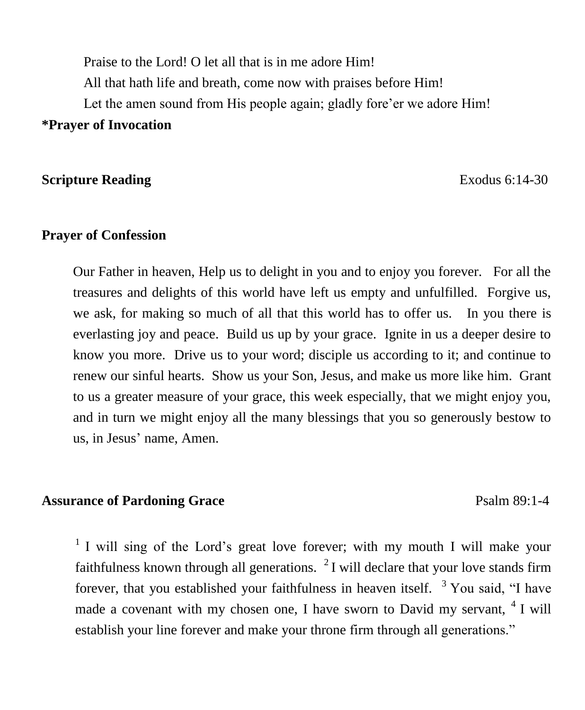Praise to the Lord! O let all that is in me adore Him! All that hath life and breath, come now with praises before Him! Let the amen sound from His people again; gladly fore'er we adore Him! **\*Prayer of Invocation** 

#### **Scripture Reading Exodus 6:14-30**

#### **Prayer of Confession**

Our Father in heaven, Help us to delight in you and to enjoy you forever. For all the treasures and delights of this world have left us empty and unfulfilled. Forgive us, we ask, for making so much of all that this world has to offer us. In you there is everlasting joy and peace. Build us up by your grace. Ignite in us a deeper desire to know you more. Drive us to your word; disciple us according to it; and continue to renew our sinful hearts. Show us your Son, Jesus, and make us more like him. Grant to us a greater measure of your grace, this week especially, that we might enjoy you, and in turn we might enjoy all the many blessings that you so generously bestow to us, in Jesus' name, Amen.

#### **Assurance of Pardoning Grace** Psalm 89:1-4

 $1$  I will sing of the Lord's great love forever; with my mouth I will make your faithfulness known through all generations.  $2I$  will declare that your love stands firm forever, that you established your faithfulness in heaven itself.  $3$  You said. "I have made a covenant with my chosen one, I have sworn to David my servant,  $4$  I will establish your line forever and make your throne firm through all generations."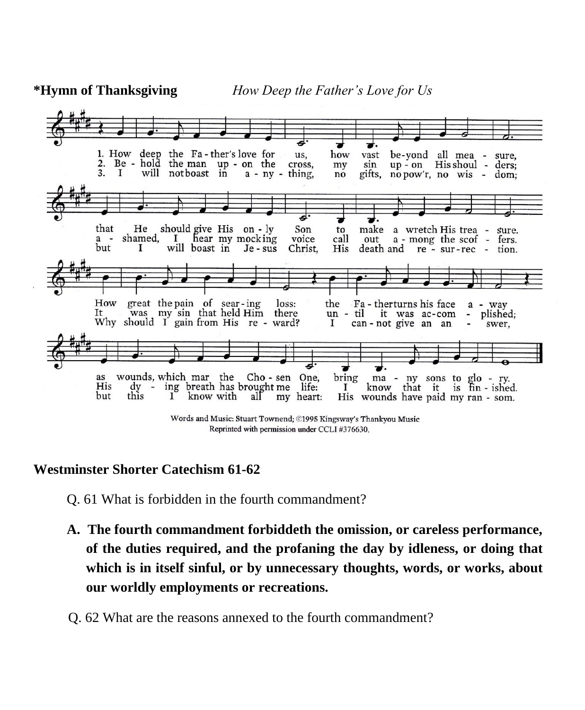

Words and Music: Stuart Townend; ©1995 Kingsway's Thankyou Music Reprinted with permission under CCLI #376630.

#### **Westminster Shorter Catechism 61-62**

- Q. 61 What is forbidden in the fourth commandment?
- **A. The fourth commandment forbiddeth the omission, or careless performance, of the duties required, and the profaning the day by idleness, or doing that which is in itself sinful, or by unnecessary thoughts, words, or works, about our worldly employments or recreations.**
- Q. 62 What are the reasons annexed to the fourth commandment?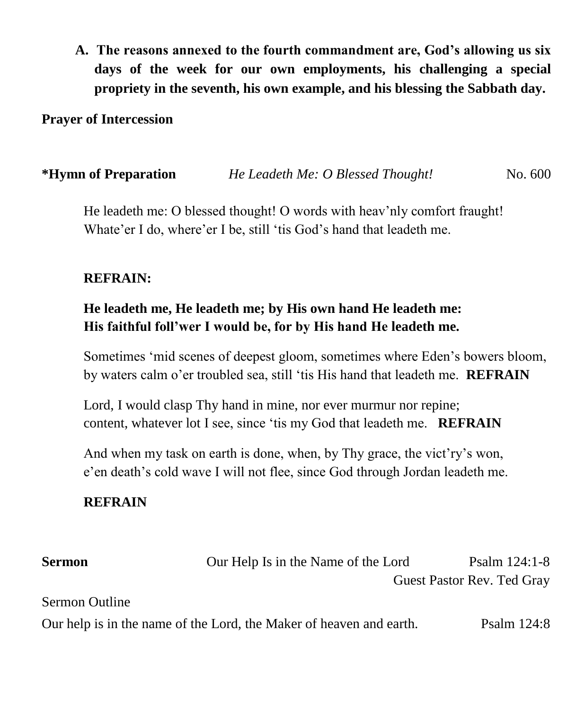**A. The reasons annexed to the fourth commandment are, God's allowing us six days of the week for our own employments, his challenging a special propriety in the seventh, his own example, and his blessing the Sabbath day.**

**Prayer of Intercession**

| <i><b>*Hymn of Preparation</b></i> | He Leadeth Me: O Blessed Thought! | No. 600 |
|------------------------------------|-----------------------------------|---------|
|------------------------------------|-----------------------------------|---------|

He leadeth me: O blessed thought! O words with heav'nly comfort fraught! Whate'er I do, where'er I be, still 'tis God's hand that leadeth me.

#### **REFRAIN:**

### **He leadeth me, He leadeth me; by His own hand He leadeth me: His faithful foll'wer I would be, for by His hand He leadeth me.**

Sometimes 'mid scenes of deepest gloom, sometimes where Eden's bowers bloom, by waters calm o'er troubled sea, still 'tis His hand that leadeth me. **REFRAIN**

Lord, I would clasp Thy hand in mine, nor ever murmur nor repine; content, whatever lot I see, since 'tis my God that leadeth me. **REFRAIN**

And when my task on earth is done, when, by Thy grace, the vict'ry's won, e'en death's cold wave I will not flee, since God through Jordan leadeth me.

#### **REFRAIN**

| <b>Sermon</b>  | Our Help Is in the Name of the Lord                                 | Psalm $124:1-8$            |
|----------------|---------------------------------------------------------------------|----------------------------|
|                |                                                                     | Guest Pastor Rev. Ted Gray |
| Sermon Outline |                                                                     |                            |
|                | Our help is in the name of the Lord, the Maker of heaven and earth. | Psalm 124:8                |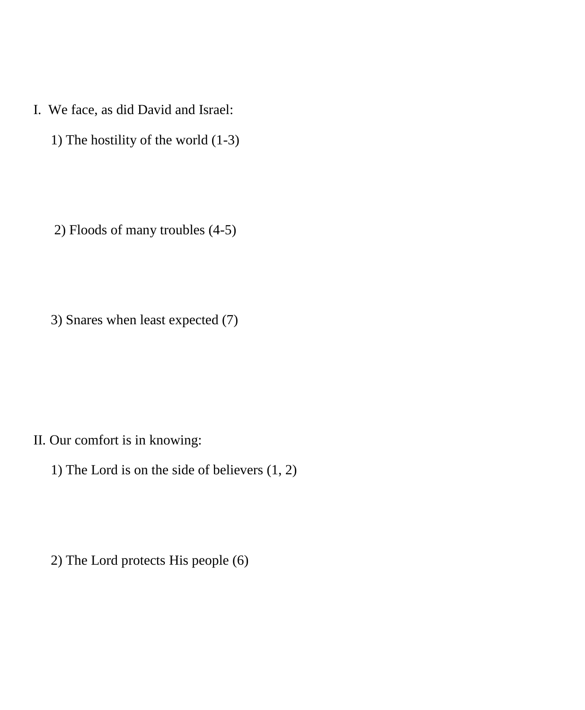- I. We face, as did David and Israel:
	- 1) The hostility of the world (1-3)

2) Floods of many troubles (4-5)

3) Snares when least expected (7)

- II. Our comfort is in knowing:
	- 1) The Lord is on the side of believers (1, 2)

2) The Lord protects His people (6)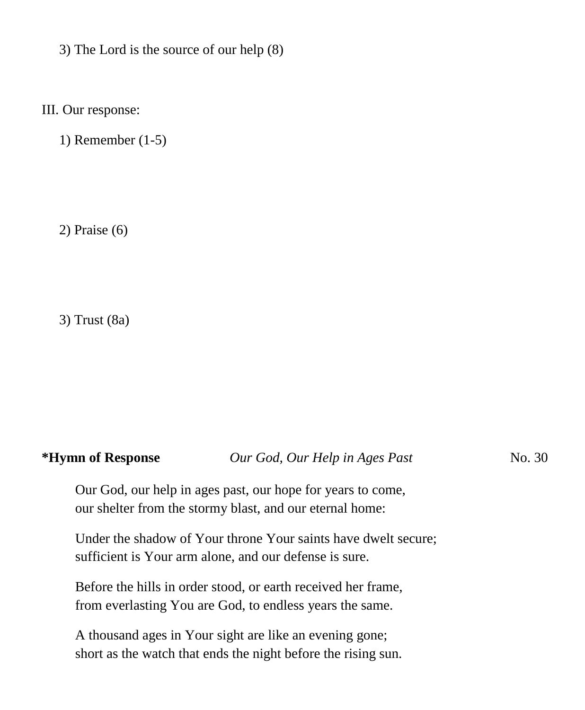3) The Lord is the source of our help (8)

III. Our response:

1) Remember (1-5)

2) Praise (6)

3) Trust (8a)

**\*Hymn of Response** *Our God, Our Help in Ages Past*No. 30

Our God, our help in ages past, our hope for years to come, our shelter from the stormy blast, and our eternal home:

Under the shadow of Your throne Your saints have dwelt secure; sufficient is Your arm alone, and our defense is sure.

Before the hills in order stood, or earth received her frame, from everlasting You are God, to endless years the same.

A thousand ages in Your sight are like an evening gone; short as the watch that ends the night before the rising sun.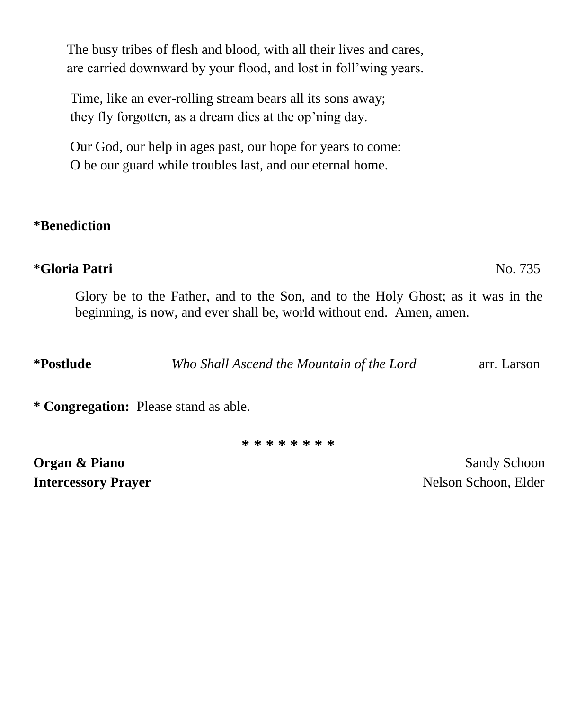The busy tribes of flesh and blood, with all their lives and cares, are carried downward by your flood, and lost in foll'wing years.

Time, like an ever-rolling stream bears all its sons away; they fly forgotten, as a dream dies at the op'ning day.

Our God, our help in ages past, our hope for years to come: O be our guard while troubles last, and our eternal home.

#### **\*Benediction**

#### **\*Gloria Patri** No. 735

Glory be to the Father, and to the Son, and to the Holy Ghost; as it was in the beginning, is now, and ever shall be, world without end. Amen, amen.

**\*Postlude** *Who Shall Ascend the Mountain of the Lord* arr. Larson

**\* Congregation:** Please stand as able.

**\* \* \* \* \* \* \* \***

**Organ & Piano** Sandy Schoon

**Intercessory Prayer** Nelson Schoon, Elder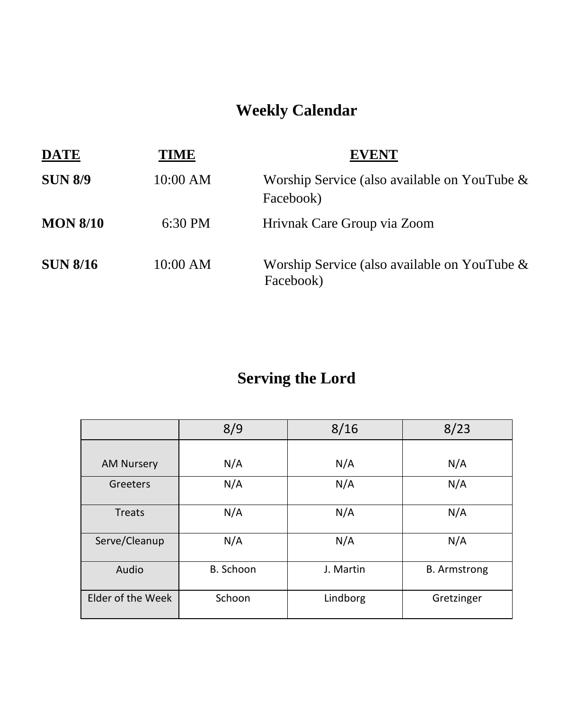# **Weekly Calendar**

| <b>DATE</b>     | TIME     | <b>EVENT</b>                                                 |
|-----------------|----------|--------------------------------------------------------------|
| <b>SUN 8/9</b>  | 10:00 AM | Worship Service (also available on YouTube $\&$<br>Facebook) |
| <b>MON 8/10</b> | 6:30 PM  | Hrivnak Care Group via Zoom                                  |
| <b>SUN 8/16</b> | 10:00 AM | Worship Service (also available on YouTube $\&$<br>Facebook) |

## **Serving the Lord**

|                   | 8/9       | 8/16      | 8/23                |
|-------------------|-----------|-----------|---------------------|
|                   |           |           |                     |
| <b>AM Nursery</b> | N/A       | N/A       | N/A                 |
| Greeters          | N/A       | N/A       | N/A                 |
| <b>Treats</b>     | N/A       | N/A       | N/A                 |
| Serve/Cleanup     | N/A       | N/A       | N/A                 |
| Audio             | B. Schoon | J. Martin | <b>B.</b> Armstrong |
| Elder of the Week | Schoon    | Lindborg  | Gretzinger          |